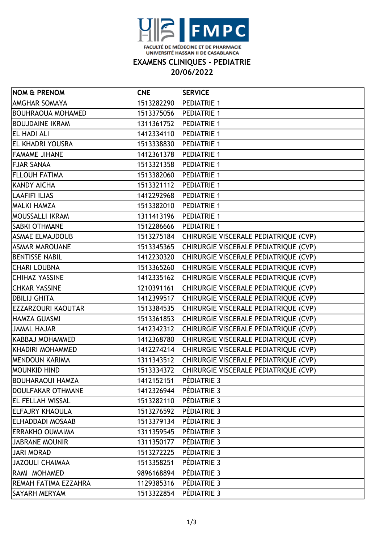

### **EXAMENS CLINIQUES - PEDIATRIE**

# **20/06/2022**

| <b>NOM &amp; PRENOM</b>   | <b>CNE</b> | <b>SERVICE</b>                                   |
|---------------------------|------------|--------------------------------------------------|
| <b>AMGHAR SOMAYA</b>      | 1513282290 | <b>PEDIATRIE 1</b>                               |
| <b>BOUHRAOUA MOHAMED</b>  | 1513375056 | <b>PEDIATRIE 1</b>                               |
| <b>BOUJDAINE IKRAM</b>    | 1311361752 | <b>PEDIATRIE 1</b>                               |
| <b>EL HADI ALI</b>        | 1412334110 | <b>PEDIATRIE 1</b>                               |
| <b>EL KHADRI YOUSRA</b>   | 1513338830 | <b>PEDIATRIE 1</b>                               |
| <b>FAMAME JIHANE</b>      | 1412361378 | <b>PEDIATRIE 1</b>                               |
| <b>FJAR SANAA</b>         | 1513321358 | <b>PEDIATRIE 1</b>                               |
| <b>FLLOUH FATIMA</b>      | 1513382060 | <b>PEDIATRIE 1</b>                               |
| <b>KANDY AICHA</b>        | 1513321112 | <b>PEDIATRIE 1</b>                               |
| LAAFIFI ILIAS             | 1412292968 | <b>PEDIATRIE 1</b>                               |
| <b>MALKI HAMZA</b>        | 1513382010 | <b>PEDIATRIE 1</b>                               |
| <b>MOUSSALLI IKRAM</b>    | 1311413196 | <b>PEDIATRIE 1</b>                               |
| <b>SABKI OTHMANE</b>      | 1512286666 | <b>PEDIATRIE 1</b>                               |
| <b>ASMAE ELMAJDOUB</b>    |            | 1513275184 CHIRURGIE VISCERALE PEDIATRIQUE (CVP) |
| <b>ASMAR MAROUANE</b>     |            | 1513345365 CHIRURGIE VISCERALE PEDIATRIQUE (CVP) |
| <b>BENTISSE NABIL</b>     | 1412230320 | CHIRURGIE VISCERALE PEDIATRIQUE (CVP)            |
| <b>CHARI LOUBNA</b>       | 1513365260 | CHIRURGIE VISCERALE PEDIATRIQUE (CVP)            |
| <b>CHIHAZ YASSINE</b>     |            | 1412335162 CHIRURGIE VISCERALE PEDIATRIQUE (CVP) |
| <b>CHKAR YASSINE</b>      | 1210391161 | CHIRURGIE VISCERALE PEDIATRIQUE (CVP)            |
| <b>DBILIJ GHITA</b>       | 1412399517 | CHIRURGIE VISCERALE PEDIATRIQUE (CVP)            |
| <b>EZZARZOURI KAOUTAR</b> | 1513384535 | CHIRURGIE VISCERALE PEDIATRIQUE (CVP)            |
| HAMZA GUASMI              | 1513361853 | CHIRURGIE VISCERALE PEDIATRIQUE (CVP)            |
| <b>JAMAL HAJAR</b>        | 1412342312 | CHIRURGIE VISCERALE PEDIATRIQUE (CVP)            |
| KABBAJ MOHAMMED           | 1412368780 | CHIRURGIE VISCERALE PEDIATRIQUE (CVP)            |
| KHADIRI MOHAMMED          | 1412274214 | CHIRURGIE VISCERALE PEDIATRIQUE (CVP)            |
| <b>MENDOUN KARIMA</b>     | 1311343512 | CHIRURGIE VISCERALE PEDIATRIQUE (CVP)            |
| <b>MOUNKID HIND</b>       | 1513334372 | CHIRURGIE VISCERALE PEDIATRIQUE (CVP)            |
| <b>BOUHARAOUI HAMZA</b>   | 1412152151 | <b>PÉDIATRIE 3</b>                               |
| DOULFAKAR OTHMANE         | 1412326944 | PÉDIATRIE 3                                      |
| <b>IEL FELLAH WISSAL</b>  | 1513282110 | <b>PÉDIATRIE 3</b>                               |
| <b>ELFAJRY KHAOULA</b>    | 1513276592 | <b>PÉDIATRIE 3</b>                               |
| <b>ELHADDADI MOSAAB</b>   | 1513379134 | <b>PÉDIATRIE 3</b>                               |
| <b>ERRAKHO OUMAIMA</b>    | 1311359545 | PÉDIATRIE 3                                      |
| <b>JABRANE MOUNIR</b>     | 1311350177 | PÉDIATRIE 3                                      |
| <b>JARI MORAD</b>         | 1513272225 | PÉDIATRIE 3                                      |
| <b>JAZOULI CHAIMAA</b>    | 1513358251 | PÉDIATRIE 3                                      |
| RAMI MOHAMED              | 9896168894 | PÉDIATRIE 3                                      |
| REMAH FATIMA EZZAHRA      | 1129385316 | PÉDIATRIE 3                                      |
| <b>SAYARH MERYAM</b>      | 1513322854 | PÉDIATRIE 3                                      |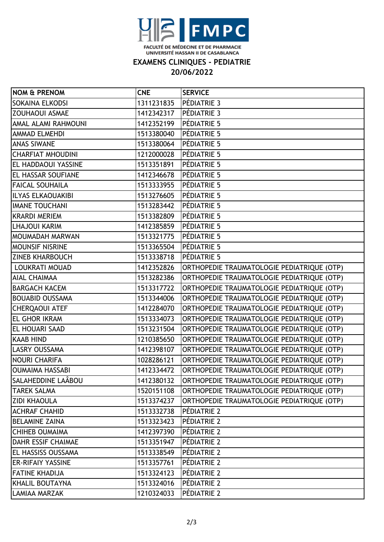

### **EXAMENS CLINIQUES - PEDIATRIE**

# **20/06/2022**

| <b>NOM &amp; PRENOM</b>    | <b>CNE</b> | <b>SERVICE</b>                             |
|----------------------------|------------|--------------------------------------------|
| SOKAINA ELKODSI            | 1311231835 | PÉDIATRIE 3                                |
| <b>ZOUHAOUI ASMAE</b>      | 1412342317 | PÉDIATRIE 3                                |
| AMAL ALAMI RAHMOUNI        | 1412352199 | PÉDIATRIE 5                                |
| <b>AMMAD ELMEHDI</b>       | 1513380040 | PÉDIATRIE 5                                |
| <b>ANAS SIWANE</b>         | 1513380064 | PÉDIATRIE 5                                |
| <b>CHARFIAT MHOUDINI</b>   | 1212000028 | PÉDIATRIE 5                                |
| <b>EL HADDAOUI YASSINE</b> | 1513351891 | PÉDIATRIE 5                                |
| <b>EL HASSAR SOUFIANE</b>  | 1412346678 | PÉDIATRIE 5                                |
| <b>FAICAL SOUHAILA</b>     | 1513333955 | PÉDIATRIE 5                                |
| <b>ILYAS ELKAOUAKIBI</b>   | 1513276605 | PÉDIATRIE 5                                |
| <b>IMANE TOUCHANI</b>      | 1513283442 | PÉDIATRIE 5                                |
| <b>KRARDI MERIEM</b>       | 1513382809 | PÉDIATRIE 5                                |
| <b>LHAJOUI KARIM</b>       | 1412385859 | PÉDIATRIE 5                                |
| MOUMADAH MARWAN            | 1513321775 | PÉDIATRIE 5                                |
| <b>MOUNSIF NISRINE</b>     | 1513365504 | PÉDIATRIE 5                                |
| <b>ZINEB KHARBOUCH</b>     | 1513338718 | PÉDIATRIE 5                                |
| <b>LOUKRATI MOUAD</b>      | 1412352826 | ORTHOPEDIE TRAUMATOLOGIE PEDIATRIQUE (OTP) |
| <b>AIAL CHAIMAA</b>        | 1513282386 | ORTHOPEDIE TRAUMATOLOGIE PEDIATRIQUE (OTP) |
| <b>BARGACH KACEM</b>       | 1513317722 | ORTHOPEDIE TRAUMATOLOGIE PEDIATRIQUE (OTP) |
| <b>BOUABID OUSSAMA</b>     | 1513344006 | ORTHOPEDIE TRAUMATOLOGIE PEDIATRIQUE (OTP) |
| <b>CHERQAOUI ATEF</b>      | 1412284070 | ORTHOPEDIE TRAUMATOLOGIE PEDIATRIQUE (OTP) |
| <b>EL GHOR IKRAM</b>       | 1513334073 | ORTHOPEDIE TRAUMATOLOGIE PEDIATRIQUE (OTP) |
| <b>EL HOUARI SAAD</b>      | 1513231504 | ORTHOPEDIE TRAUMATOLOGIE PEDIATRIQUE (OTP) |
| <b>KAAB HIND</b>           | 1210385650 | ORTHOPEDIE TRAUMATOLOGIE PEDIATRIQUE (OTP) |
| LASRY OUSSAMA              | 1412398107 | ORTHOPEDIE TRAUMATOLOGIE PEDIATRIQUE (OTP) |
| <b>NOURI CHARIFA</b>       | 1028286121 | ORTHOPEDIE TRAUMATOLOGIE PEDIATRIQUE (OTP) |
| <b>OUMAIMA HASSABI</b>     | 1412334472 | ORTHOPEDIE TRAUMATOLOGIE PEDIATRIQUE (OTP) |
| SALAHEDDINE LAÂBOU         | 1412380132 | ORTHOPEDIE TRAUMATOLOGIE PEDIATRIQUE (OTP) |
| <b>TAREK SALMA</b>         | 1520151108 | ORTHOPEDIE TRAUMATOLOGIE PEDIATRIQUE (OTP) |
| <b>ZIDI KHAOULA</b>        | 1513374237 | ORTHOPEDIE TRAUMATOLOGIE PEDIATRIQUE (OTP) |
| <b>ACHRAF CHAHID</b>       | 1513332738 | PÉDIATRIE 2                                |
| <b>BELAMINE ZAINA</b>      | 1513323423 | PÉDIATRIE 2                                |
| <b>CHIHEB OUMAIMA</b>      | 1412397390 | PÉDIATRIE 2                                |
| <b>DAHR ESSIF CHAIMAE</b>  | 1513351947 | PÉDIATRIE 2                                |
| <b>EL HASSISS OUSSAMA</b>  | 1513338549 | PÉDIATRIE 2                                |
| <b>ER-RIFAIY YASSINE</b>   | 1513357761 | PÉDIATRIE 2                                |
| <b>FATINE KHADIJA</b>      | 1513324123 | PÉDIATRIE 2                                |
| KHALIL BOUTAYNA            | 1513324016 | PÉDIATRIE 2                                |
| <b>LAMIAA MARZAK</b>       | 1210324033 | PÉDIATRIE 2                                |